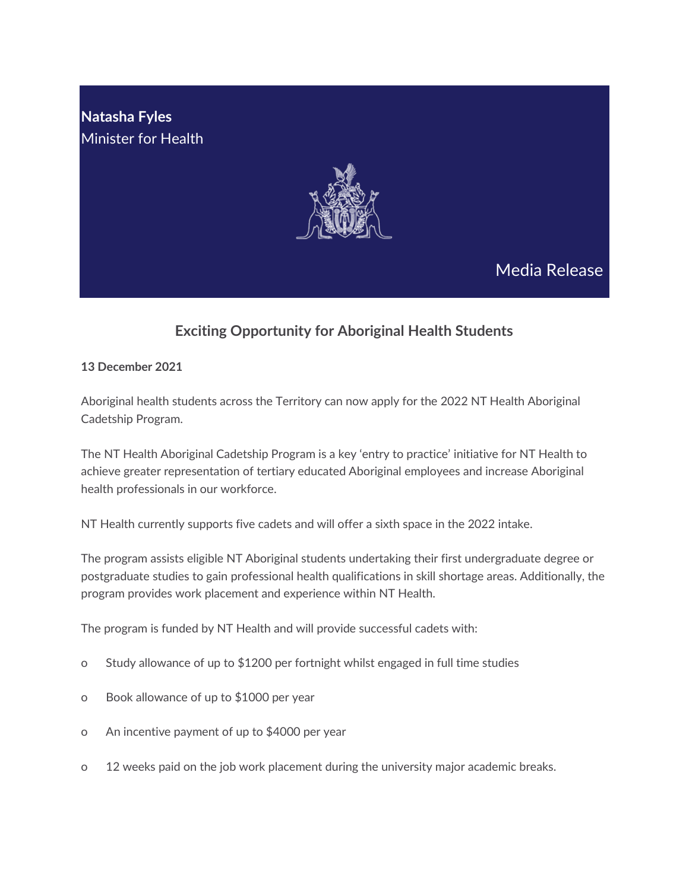**Natasha Fyles Minister for Health** 



Media Release

## **Exciting Opportunity for Aboriginal Health Students**

## **13 December 2021**

Aboriginal health students across the Territory can now apply for the 2022 NT Health Aboriginal Cadetship Program.

The NT Health Aboriginal Cadetship Program is a key 'entry to practice' initiative for NT Health to achieve greater representation of tertiary educated Aboriginal employees and increase Aboriginal health professionals in our workforce.

NT Health currently supports five cadets and will offer a sixth space in the 2022 intake.

The program assists eligible NT Aboriginal students undertaking their first undergraduate degree or postgraduate studies to gain professional health qualifications in skill shortage areas. Additionally, the program provides work placement and experience within NT Health.

The program is funded by NT Health and will provide successful cadets with:

- o Study allowance of up to \$1200 per fortnight whilst engaged in full time studies
- o Book allowance of up to \$1000 per year
- o An incentive payment of up to \$4000 per year
- o 12 weeks paid on the job work placement during the university major academic breaks.